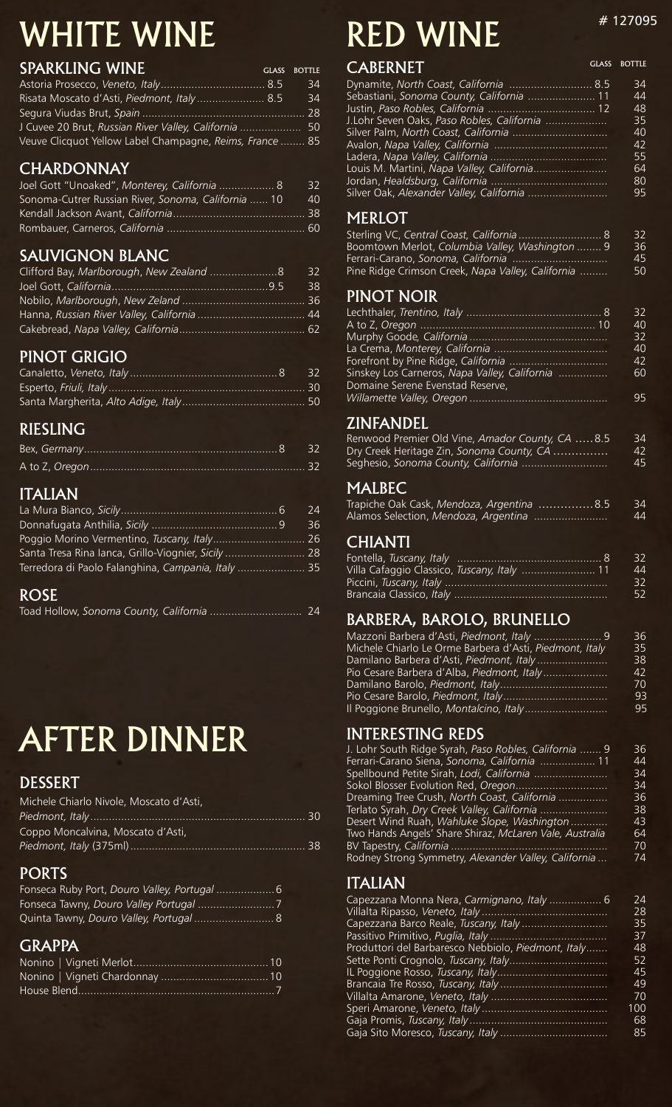# WHITE WINE

| <b>SPARKLING WINE</b>                                    | <b>GLASS BOTTLE</b> |
|----------------------------------------------------------|---------------------|
|                                                          | 34                  |
| Risata Moscato d'Asti, Piedmont, Italy 8.5               | 34                  |
|                                                          |                     |
| J Cuvee 20 Brut, Russian River Valley, California  50    |                     |
| Veuve Clicquot Yellow Label Champagne, Reims, France  85 |                     |

# CHARDONNAY

| Joel Gott "Unoaked", Monterey, California  8        | - 32 |
|-----------------------------------------------------|------|
| Sonoma-Cutrer Russian River, Sonoma, California  10 | 40   |
|                                                     |      |
|                                                     |      |

# SAUVIGNON BLANC

| Clifford Bay, Marlborough, New Zealand 8 | 32 |
|------------------------------------------|----|
|                                          | 38 |
|                                          |    |
|                                          |    |
|                                          |    |

# PINOT GRIGIO

# RIESLING

## ITALIAN

|                                                     | 24 |
|-----------------------------------------------------|----|
|                                                     | 36 |
|                                                     |    |
| Santa Tresa Rina lanca, Grillo-Viognier, Sicily  28 |    |
| Terredora di Paolo Falanghina, Campania, Italy  35  |    |

## ROSE

|--|--|--|

# AFTER DINNER

## DESSERT

| Michele Chiarlo Nivole, Moscato d'Asti, |  |
|-----------------------------------------|--|
|                                         |  |
| Coppo Moncalvina, Moscato d'Asti,       |  |
|                                         |  |

# PORTS

# GRAPPA

# RED WINE  $*$ <sup>4 127095</sup>

GLASS BOTTLE

# CABERNET

| <b>CAPLINNET</b>                           |    |
|--------------------------------------------|----|
| Dynamite, North Coast, California  8.5     | 34 |
| Sebastiani, Sonoma County, California  11  | 44 |
|                                            | 48 |
| J.Lohr Seven Oaks, Paso Robles, California | 35 |
|                                            | 40 |
|                                            | 42 |
|                                            | 55 |
| Louis M. Martini, Napa Valley, California  | 64 |
|                                            | 80 |
|                                            | 95 |
|                                            |    |

## MERLOT

| Sterling VC, Central Coast, California  8         | 32 |
|---------------------------------------------------|----|
| Boomtown Merlot, Columbia Valley, Washington  9   | 36 |
|                                                   | 45 |
| Pine Ridge Crimson Creek, Napa Valley, California | 50 |
|                                                   |    |

## PINOT NOIR

|                                                                                   | 32 |
|-----------------------------------------------------------------------------------|----|
|                                                                                   | 40 |
|                                                                                   | 32 |
|                                                                                   | 40 |
|                                                                                   | 42 |
| Sinskey Los Carneros, Napa Valley, California<br>Domaine Serene Evenstad Reserve, | 60 |
|                                                                                   | 95 |

# ZINFANDEL

| Renwood Premier Old Vine, Amador County, CA 8.5 | 34 |
|-------------------------------------------------|----|
| Dry Creek Heritage Zin, Sonoma County, CA       | 42 |
| Seghesio, Sonoma County, California             | 45 |

## MALBEC

| Trapiche Oak Cask, Mendoza, Argentina 8.5 | -34 |
|-------------------------------------------|-----|
| Alamos Selection, Mendoza, Argentina      | 44  |

# CHIANTI

|                                             | -32 |
|---------------------------------------------|-----|
| Villa Cafaggio Classico, Tuscany, Italy  11 | 44  |
|                                             | -32 |
|                                             | 52  |

# BARBERA, BAROLO, BRUNELLO

| Mazzoni Barbera d'Asti, Piedmont, Italy  9              | 36 |
|---------------------------------------------------------|----|
| Michele Chiarlo Le Orme Barbera d'Asti, Piedmont, Italy | 35 |
| Damilano Barbera d'Asti, Piedmont, Italy                | 38 |
| Pio Cesare Barbera d'Alba, Piedmont, Italy              | 42 |
|                                                         | 70 |
|                                                         | 93 |
|                                                         | 95 |
|                                                         |    |

# INTERESTING REDS

| J. Lohr South Ridge Syrah, Paso Robles, California  9   | 36 |
|---------------------------------------------------------|----|
| Ferrari-Carano Siena, Sonoma, California  11            | 44 |
| Spellbound Petite Sirah, Lodi, California               | 34 |
|                                                         | 34 |
| Dreaming Tree Crush, North Coast, California            | 36 |
| Terlato Syrah, Dry Creek Valley, California             | 38 |
| Desert Wind Ruah, Wahluke Slope, Washington             | 43 |
| Two Hands Angels' Share Shiraz, McLaren Vale, Australia | 64 |
|                                                         | 70 |
| Rodney Strong Symmetry, Alexander Valley, California    | 74 |
|                                                         |    |

## ITALIAN

| Capezzana Monna Nera, Carmignano, Italy  6          | 24  |
|-----------------------------------------------------|-----|
|                                                     | 28  |
|                                                     | 35  |
|                                                     | 37  |
| Produttori del Barbaresco Nebbiolo, Piedmont, Italy | 48  |
|                                                     | 52  |
|                                                     | 45  |
|                                                     | 49  |
|                                                     | 70  |
|                                                     | 100 |
|                                                     | 68  |
|                                                     | 85  |
|                                                     |     |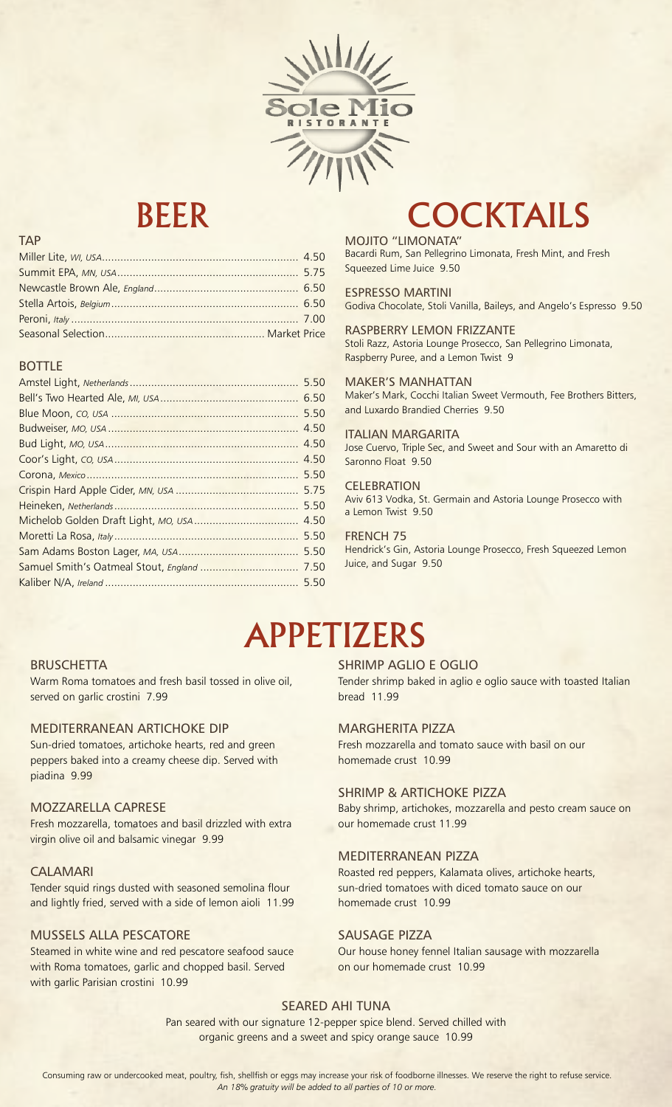

### TAP

### BOTTLE

|                                       | 5.50 |
|---------------------------------------|------|
|                                       |      |
|                                       | 5.50 |
|                                       | 4.50 |
|                                       | 4.50 |
|                                       | 4.50 |
|                                       | 5.50 |
|                                       | 5.75 |
|                                       | 5.50 |
|                                       | 4.50 |
|                                       | 5.50 |
|                                       | 5.50 |
| Samuel Smith's Oatmeal Stout, England | 7.50 |
|                                       | 5.50 |
|                                       |      |

# BEER COCKTAILS

MOJITO "LIMONATA" Bacardi Rum, San Pellegrino Limonata, Fresh Mint, and Fresh Squeezed Lime Juice 9.50

ESPRESSO MARTINI Godiva Chocolate, Stoli Vanilla, Baileys, and Angelo's Espresso 9.50

RASPBERRY LEMON FRIZZANTE Stoli Razz, Astoria Lounge Prosecco, San Pellegrino Limonata, Raspberry Puree, and a Lemon Twist 9

MAKER'S MANHATTAN Maker's Mark, Cocchi Italian Sweet Vermouth, Fee Brothers Bitters, and Luxardo Brandied Cherries 9.50

## ITALIAN MARGARITA

Jose Cuervo, Triple Sec, and Sweet and Sour with an Amaretto di Saronno Float 9.50

### **CELEBRATION**

Aviv 613 Vodka, St. Germain and Astoria Lounge Prosecco with a Lemon Twist 9.50

FRENCH 75 Hendrick's Gin, Astoria Lounge Prosecco, Fresh Squeezed Lemon Juice, and Sugar 9.50

# APPETIZERS

### **BRUSCHETTA**

Warm Roma tomatoes and fresh basil tossed in olive oil, served on garlic crostini 7.99

### MEDITERRANEAN ARTICHOKE DIP

Sun-dried tomatoes, artichoke hearts, red and green peppers baked into a creamy cheese dip. Served with piadina 9.99

### MOZZARELLA CAPRESE

Fresh mozzarella, tomatoes and basil drizzled with extra virgin olive oil and balsamic vinegar 9.99

### CALAMARI

Tender squid rings dusted with seasoned semolina flour and lightly fried, served with a side of lemon aioli 11.99

### MUSSELS ALLA PESCATORE

Steamed in white wine and red pescatore seafood sauce with Roma tomatoes, garlic and chopped basil. Served with garlic Parisian crostini 10.99

### SHRIMP AGLIO E OGLIO

Tender shrimp baked in aglio e oglio sauce with toasted Italian **bread** 11.99

### MARGHERITA PIZZA

Fresh mozzarella and tomato sauce with basil on our homemade crust 10.99

### SHRIMP & ARTICHOKE PIZZA

Baby shrimp, artichokes, mozzarella and pesto cream sauce on our homemade crust 11.99

### MEDITERRANEAN PIZZA

Roasted red peppers, Kalamata olives, artichoke hearts, sun-dried tomatoes with diced tomato sauce on our homemade crust 10.99

### SAUSAGE PIZZA

Our house honey fennel Italian sausage with mozzarella on our homemade crust 10.99

### SEARED AHI TUNA

Pan seared with our signature 12-pepper spice blend. Served chilled with organic greens and a sweet and spicy orange sauce 10.99

Consuming raw or undercooked meat, poultry, fish, shellfish or eggs may increase your risk of foodborne illnesses. We reserve the right to refuse service. *An 18% gratuity will be added to all parties of 10 or more.*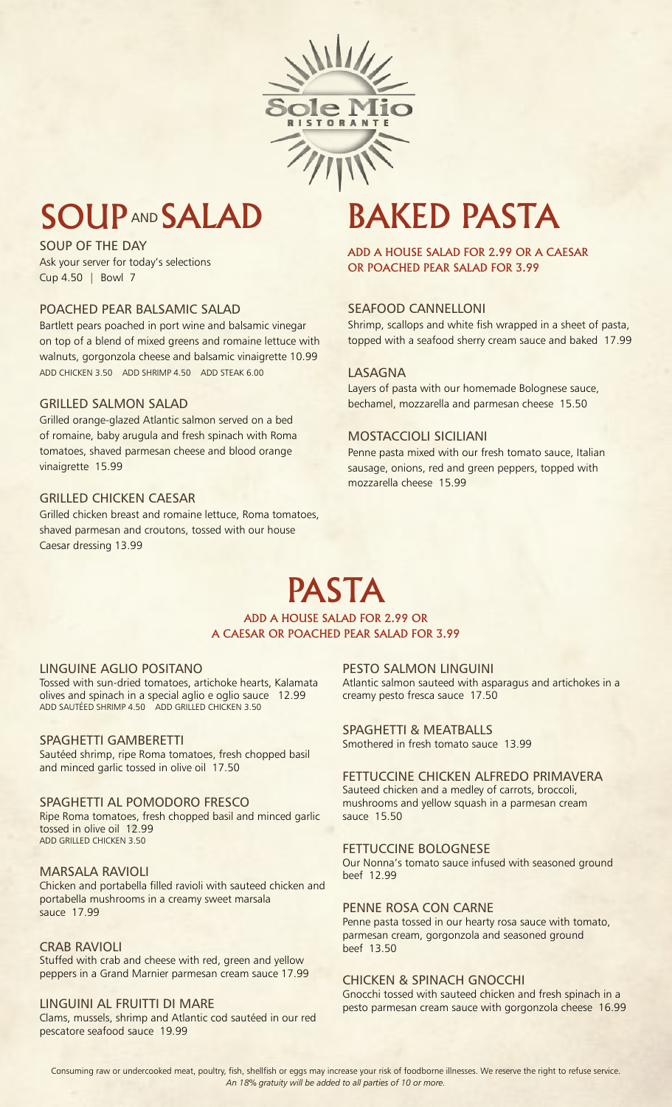

# SOUP AND SALAD BAKED PASTA

SOUP OF THE DAY Ask your server for today's selections Cup 4.50 | Bowl 7

### POACHED PEAR BALSAMIC SALAD

Bartlett pears poached in port wine and balsamic vinegar on top of a blend of mixed greens and romaine lettuce with walnuts, gorgonzola cheese and balsamic vinaigrette 10.99 ADD CHICKEN 3.50 ADD SHRIMP 4.50 ADD STEAK 6.00

### GRILLED SALMON SALAD

Grilled orange-glazed Atlantic salmon served on a bed of romaine, baby arugula and fresh spinach with Roma tomatoes, shaved parmesan cheese and blood orange vinaigrette 15.99

### GRILLED CHICKEN CAESAR

Grilled chicken breast and romaine lettuce, Roma tomatoes, shaved parmesan and croutons, tossed with our house Caesar dressing 13.99

ADD A HOUSE SALAD FOR 2.99 OR A CAESAR OR POACHED PEAR SALAD FOR 3.99

### SEAFOOD CANNELLONI

Shrimp, scallops and white fish wrapped in a sheet of pasta, topped with a seafood sherry cream sauce and baked 17.99

### LASAGNA

Layers of pasta with our homemade Bolognese sauce, bechamel, mozzarella and parmesan cheese 15.50

### MOSTACCIOLI SICILIANI

Penne pasta mixed with our fresh tomato sauce, Italian sausage, onions, red and green peppers, topped with mozzarella cheese 15.99

# PASTA ADD A HOUSE SALAD FOR 2.99 OR

A CAESAR OR POACHED PEAR SALAD FOR 3.99

### LINGUINE AGLIO POSITANO

Tossed with sun-dried tomatoes, artichoke hearts, Kalamata olives and spinach in a special aglio e oglio sauce 12.99 ADD SAUTÉED SHRIMP 4.50 ADD GRILLED CHICKEN 3.50

### SPAGHETTI GAMBERETTI

Sautéed shrimp, ripe Roma tomatoes, fresh chopped basil and minced garlic tossed in olive oil 17.50

### SPAGHETTI AL POMODORO FRESCO

Ripe Roma tomatoes, fresh chopped basil and minced garlic tossed in olive oil 12.99 ADD GRILLED CHICKEN 3.50

### MARSALA RAVIOLI

Chicken and portabella filled ravioli with sauteed chicken and portabella mushrooms in a creamy sweet marsala sauce 17.99

### CRAB RAVIOLI Stuffed with crab and cheese with red, green and yellow peppers in a Grand Marnier parmesan cream sauce 17.99

LINGUINI AL FRUITTI DI MARE Clams, mussels, shrimp and Atlantic cod sautéed in our red pescatore seafood sauce 19.99

PESTO SALMON LINGUINI

Atlantic salmon sauteed with asparagus and artichokes in a creamy pesto fresca sauce 17.50

### SPAGHETTI & MEATBALLS

Smothered in fresh tomato sauce 13.99

### FETTUCCINE CHICKEN ALFREDO PRIMAVERA Sauteed chicken and a medley of carrots, broccoli, mushrooms and yellow squash in a parmesan cream sauce 15.50

### FETTUCCINE BOLOGNESE

Our Nonna's tomato sauce infused with seasoned ground beef 12.99

### PENNE ROSA CON CARNE

Penne pasta tossed in our hearty rosa sauce with tomato, parmesan cream, gorgonzola and seasoned ground beef 13.50

### CHICKEN & SPINACH GNOCCHI

Gnocchi tossed with sauteed chicken and fresh spinach in a pesto parmesan cream sauce with gorgonzola cheese 16.99

Consuming raw or undercooked meat, poultry, fish, shellfish or eggs may increase your risk of foodborne illnesses. We reserve the right to refuse service. *An 18% gratuity will be added to all parties of 10 or more.*